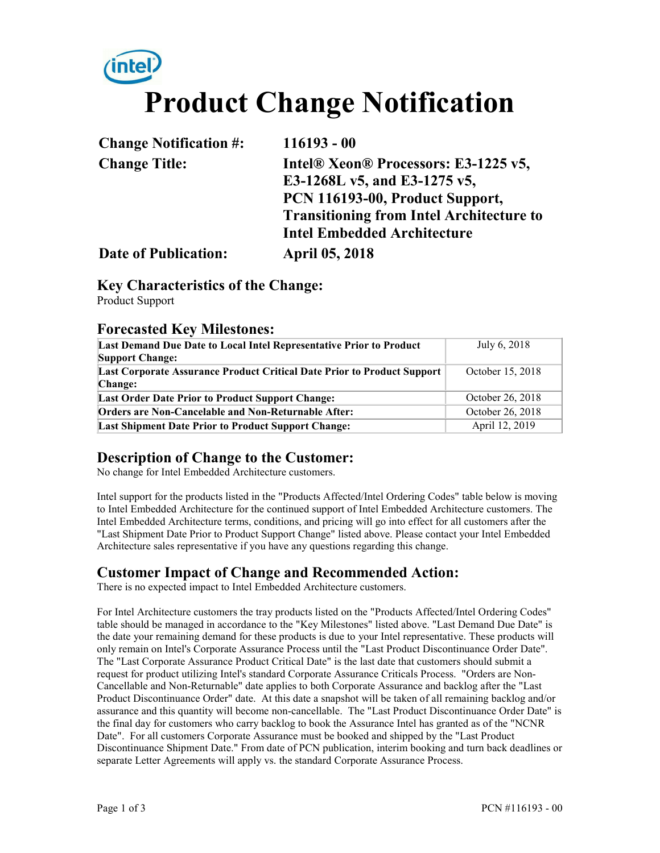# **Product Change Notification**

| <b>Change Notification #:</b> | $116193 - 00$                                   |
|-------------------------------|-------------------------------------------------|
| <b>Change Title:</b>          | Intel® Xeon® Processors: E3-1225 v5,            |
|                               | E3-1268L v5, and E3-1275 v5,                    |
|                               | PCN 116193-00, Product Support,                 |
|                               | <b>Transitioning from Intel Architecture to</b> |
|                               | <b>Intel Embedded Architecture</b>              |
| <b>Date of Publication:</b>   | <b>April 05, 2018</b>                           |

#### **Key Characteristics of the Change:**

Product Support

#### **Forecasted Key Milestones:**

| July 6, 2018     |
|------------------|
| October 15, 2018 |
| October 26, 2018 |
| October 26, 2018 |
| April 12, 2019   |
|                  |

#### **Description of Change to the Customer:**

No change for Intel Embedded Architecture customers.

Intel support for the products listed in the "Products Affected/Intel Ordering Codes" table below is moving to Intel Embedded Architecture for the continued support of Intel Embedded Architecture customers. The Intel Embedded Architecture terms, conditions, and pricing will go into effect for all customers after the "Last Shipment Date Prior to Product Support Change" listed above. Please contact your Intel Embedded Architecture sales representative if you have any questions regarding this change.

#### **Customer Impact of Change and Recommended Action:**

There is no expected impact to Intel Embedded Architecture customers.

For Intel Architecture customers the tray products listed on the "Products Affected/Intel Ordering Codes" table should be managed in accordance to the "Key Milestones" listed above. "Last Demand Due Date" is the date your remaining demand for these products is due to your Intel representative. These products will only remain on Intel's Corporate Assurance Process until the "Last Product Discontinuance Order Date". The "Last Corporate Assurance Product Critical Date" is the last date that customers should submit a request for product utilizing Intel's standard Corporate Assurance Criticals Process. "Orders are Non-Cancellable and Non-Returnable" date applies to both Corporate Assurance and backlog after the "Last Product Discontinuance Order" date. At this date a snapshot will be taken of all remaining backlog and/or assurance and this quantity will become non-cancellable. The "Last Product Discontinuance Order Date" is the final day for customers who carry backlog to book the Assurance Intel has granted as of the "NCNR Date". For all customers Corporate Assurance must be booked and shipped by the "Last Product Discontinuance Shipment Date." From date of PCN publication, interim booking and turn back deadlines or separate Letter Agreements will apply vs. the standard Corporate Assurance Process.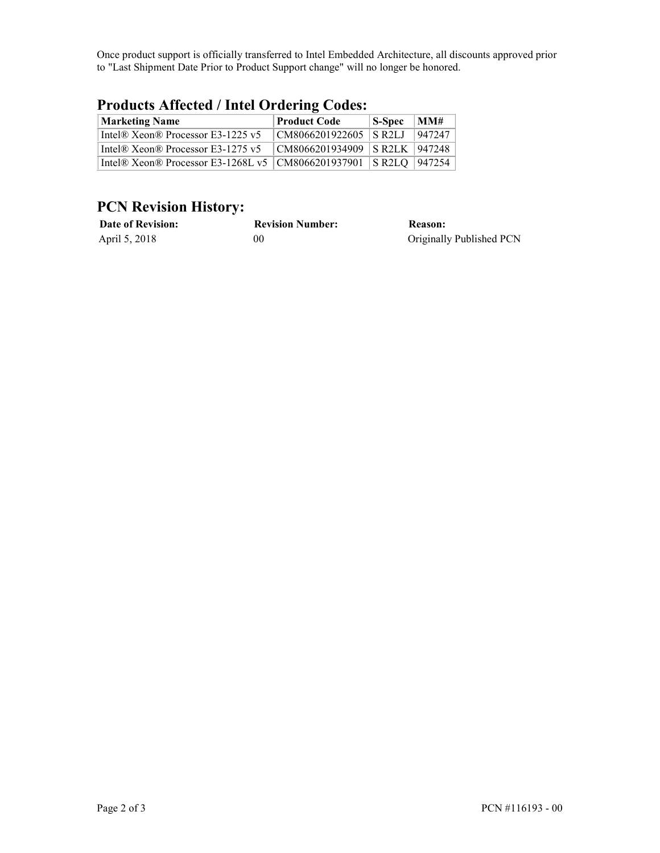Once product support is officially transferred to Intel Embedded Architecture, all discounts approved prior to "Last Shipment Date Prior to Product Support change" will no longer be honored.

| <b>Marketing Name</b>                                         | <b>Product Code</b>        | $\vert$ S-Spec | MM#    |
|---------------------------------------------------------------|----------------------------|----------------|--------|
| Intel® Xeon® Processor E3-1225 v5                             | CM8066201922605 SR2LJ      |                | 947247 |
| Intel® Xeon® Processor E3-1275 $v5$                           | $ CM8066201934909 $ S R2LK |                | 947248 |
| Intel® Xeon® Processor E3-1268L v5   CM8066201937901   S R2LQ |                            |                | 947254 |

#### **Products Affected / Intel Ordering Codes:**

### **PCN Revision History:**

| <b>Date of Revision:</b> | <b>Revision Number:</b> | Reason:                  |
|--------------------------|-------------------------|--------------------------|
| April 5, 2018            | 00                      | Originally Published PCN |